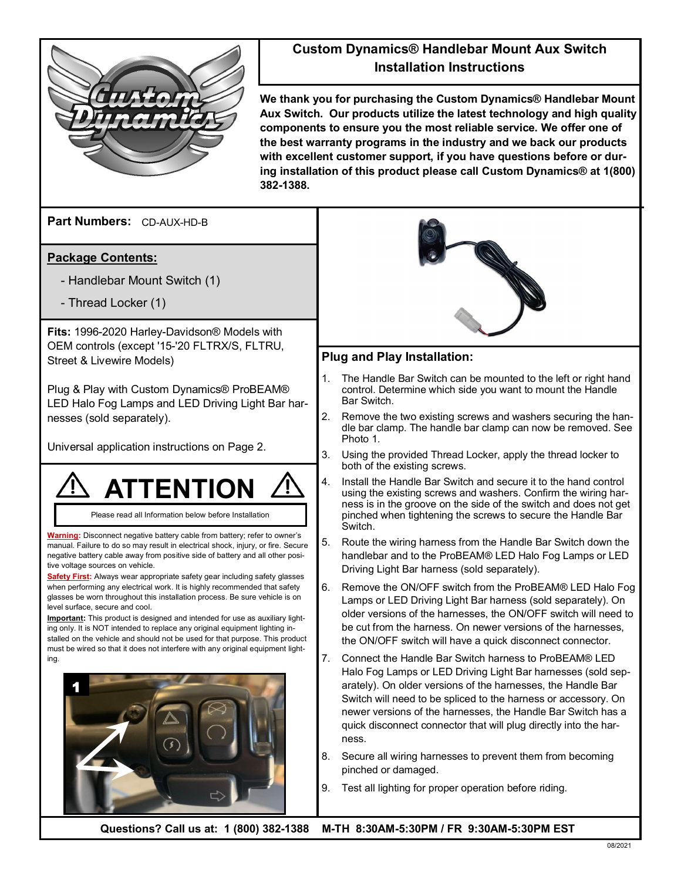

## **Custom Dynamics® Handlebar Mount Aux Switch Installation Instructions**

**We thank you for purchasing the Custom Dynamics® Handlebar Mount Aux Switch. Our products utilize the latest technology and high quality components to ensure you the most reliable service. We offer one of the best warranty programs in the industry and we back our products with excellent customer support, if you have questions before or during installation of this product please call Custom Dynamics® at 1(800) 382-1388.**

**Part Numbers:**  CD-AUX-HD-B

## **Package Contents:**

- Handlebar Mount Switch (1)
- Thread Locker (1)

**Fits:** 1996-2020 Harley-Davidson® Models with OEM controls (except '15-'20 FLTRX/S, FLTRU, Street & Livewire Models)

Plug & Play with Custom Dynamics® ProBEAM® LED Halo Fog Lamps and LED Driving Light Bar harnesses (sold separately).

Universal application instructions on Page 2.



Please read all Information below before Installation

**Warning:** Disconnect negative battery cable from battery; refer to owner's manual. Failure to do so may result in electrical shock, injury, or fire. Secure negative battery cable away from positive side of battery and all other positive voltage sources on vehicle.

**Safety First:** Always wear appropriate safety gear including safety glasses when performing any electrical work. It is highly recommended that safety glasses be worn throughout this installation process. Be sure vehicle is on level surface, secure and cool.

**Important:** This product is designed and intended for use as auxiliary lighting only. It is NOT intended to replace any original equipment lighting installed on the vehicle and should not be used for that purpose. This product must be wired so that it does not interfere with any original equipment lighting.





## **Plug and Play Installation:**

- 1. The Handle Bar Switch can be mounted to the left or right hand control. Determine which side you want to mount the Handle Bar Switch.
- 2. Remove the two existing screws and washers securing the handle bar clamp. The handle bar clamp can now be removed. See Photo 1.
- 3. Using the provided Thread Locker, apply the thread locker to both of the existing screws.
- 4. Install the Handle Bar Switch and secure it to the hand control using the existing screws and washers. Confirm the wiring harness is in the groove on the side of the switch and does not get pinched when tightening the screws to secure the Handle Bar Switch.
- 5. Route the wiring harness from the Handle Bar Switch down the handlebar and to the ProBEAM® LED Halo Fog Lamps or LED Driving Light Bar harness (sold separately).
- 6. Remove the ON/OFF switch from the ProBEAM® LED Halo Fog Lamps or LED Driving Light Bar harness (sold separately). On older versions of the harnesses, the ON/OFF switch will need to be cut from the harness. On newer versions of the harnesses, the ON/OFF switch will have a quick disconnect connector.
- 7. Connect the Handle Bar Switch harness to ProBEAM® LED Halo Fog Lamps or LED Driving Light Bar harnesses (sold separately). On older versions of the harnesses, the Handle Bar Switch will need to be spliced to the harness or accessory. On newer versions of the harnesses, the Handle Bar Switch has a quick disconnect connector that will plug directly into the harness.
- 8. Secure all wiring harnesses to prevent them from becoming pinched or damaged.
- 9. Test all lighting for proper operation before riding.

**Questions? Call us at: 1 (800) 382-1388 M-TH 8:30AM-5:30PM / FR 9:30AM-5:30PM EST**